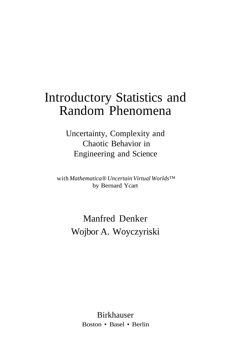# Introductory Statistics and Random Phenomena

Uncertainty, Complexity and Chaotic Behavior in Engineering and Science

with *Mathematica® Uncertain Virtual Worlds™* by Bernard Ycart

## Manfred Denker Wojbor A. Woyczyriski

Birkhauser Boston • Basel • Berlin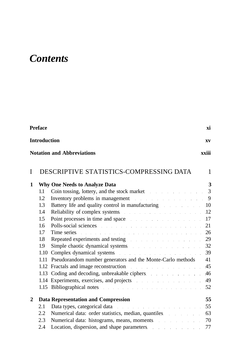### *Contents*

| Preface<br><b>Introduction</b>    |                                            |                                                                                                                                                                                                                                | хi           |  |
|-----------------------------------|--------------------------------------------|--------------------------------------------------------------------------------------------------------------------------------------------------------------------------------------------------------------------------------|--------------|--|
|                                   |                                            |                                                                                                                                                                                                                                | XV           |  |
| <b>Notation and Abbreviations</b> |                                            | xxiii                                                                                                                                                                                                                          |              |  |
| I                                 |                                            | DESCRIPTIVE STATISTICS-COMPRESSING DATA                                                                                                                                                                                        | $\mathbf{1}$ |  |
| 1                                 |                                            | <b>Why One Needs to Analyze Data</b>                                                                                                                                                                                           | 3            |  |
|                                   | 1.1                                        | Coin tossing, lottery, and the stock market 3                                                                                                                                                                                  |              |  |
|                                   | 1.2                                        | Inventory problems in management 9                                                                                                                                                                                             |              |  |
|                                   | 1.3                                        | Battery life and quality control in manufacturing 10                                                                                                                                                                           |              |  |
|                                   | 1.4                                        | Reliability of complex systems 12                                                                                                                                                                                              |              |  |
|                                   | 1.5                                        | Point processes in time and space 17                                                                                                                                                                                           |              |  |
|                                   | 1.6                                        | Polls-social sciences 21                                                                                                                                                                                                       |              |  |
|                                   | 1.7                                        | Time series 26                                                                                                                                                                                                                 |              |  |
|                                   | 1.8                                        | Repeated experiments and testing 29                                                                                                                                                                                            |              |  |
|                                   | 1.9                                        | Simple chaotic dynamical systems 32                                                                                                                                                                                            |              |  |
|                                   | $1.10 -$                                   | Complex dynamical systems 39                                                                                                                                                                                                   |              |  |
|                                   | $1.11 -$                                   | Pseudorandom number generators and the Monte-Carlo methods                                                                                                                                                                     | 41           |  |
|                                   |                                            | 1.12 Fractals and image reconstruction 45                                                                                                                                                                                      |              |  |
|                                   |                                            | 1.13 Coding and decoding, unbreakable ciphers 46                                                                                                                                                                               |              |  |
|                                   |                                            | 1.14 Experiments, exercises, and projects 49                                                                                                                                                                                   |              |  |
|                                   |                                            | 1.15 Bibliographical notes expressions of the contract of the state of the state of the state of the state of the state of the state of the state of the state of the state of the state of the state of the state of the stat |              |  |
| $\mathbf{2}$                      | <b>Data Representation and Compression</b> |                                                                                                                                                                                                                                | 55           |  |
|                                   | 2.1                                        | Data types, categorical data experience of the state of the state of the state of the state of the state of the state of the state of the state of the state of the state of the state of the state of the state of the state  | 55           |  |
|                                   | $2.2^{\circ}$                              | Numerical data: order statistics, median, quantiles                                                                                                                                                                            | 63           |  |
|                                   | 2.3                                        | Numerical data: histograms, means, moments                                                                                                                                                                                     | 70           |  |
|                                   | 2.4                                        | Location, dispersion, and shape parameters                                                                                                                                                                                     | 77           |  |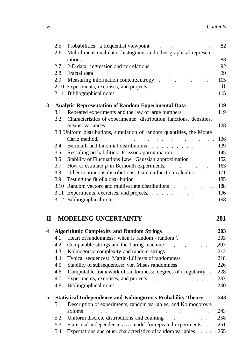|   | 2.5                                                                   | Probabilities: a frequentist viewpoint                             | 82         |
|---|-----------------------------------------------------------------------|--------------------------------------------------------------------|------------|
|   | 2.6                                                                   | Multidimensional data: histograms and other graphical represen-    |            |
|   |                                                                       | $\text{tations}$ $88$                                              |            |
|   | 2.7                                                                   | 2-D data: regression and correlations 92                           |            |
|   | 2.8                                                                   | Fractal data 99                                                    |            |
|   | 2.9                                                                   | Measuring information content: entropy 105                         |            |
|   | 2.10                                                                  | Experiments, exercises, and projects [11]                          |            |
|   | 2.11                                                                  | Bibliographical notes 115                                          |            |
| 3 |                                                                       |                                                                    | 119        |
|   |                                                                       | Analytic Representation of Random Experimental Data                |            |
|   | 3.1                                                                   | Repeated experiments and the law of large numbers                  | 119        |
|   | 3.2                                                                   | Characteristics of experiments: distribution functions, densities, |            |
|   |                                                                       | means, variances                                                   | <b>128</b> |
|   | 3.3 Uniform distributions, simulation of random quantities, the Monte |                                                                    |            |
|   |                                                                       | Carlo method                                                       | .136       |
|   | 3.4                                                                   | Bernoulli and binomial distributions                               | .139       |
|   | 3.5                                                                   | Rescaling probabilities: Poisson approximation                     | 145        |
|   | 3.6                                                                   | Stability of Fluctuations Law: Gaussian approximation              | 152        |
|   | 3.7                                                                   | How to estimate $p$ in Bernoulli experiments                       | <b>163</b> |
|   | 3.8                                                                   | Other continuous distributions; Gamma function calculus            | 171        |
|   | 3.9                                                                   | Testing the fit of a distribution                                  | -185       |
|   | 3.10                                                                  | Random vectors and multivariate distributions                      | 188        |
|   | 3.11                                                                  | Experiments, exercises, and projects                               | 196        |
|   |                                                                       | 3.12 Bibliographical notes                                         | 198        |
|   |                                                                       |                                                                    |            |

### **II MODELING UNCERTAINTY 201**

| 4  |                                                                     | <b>Algorithmic Complexity and Random Strings</b>                                                                                                                                                                               | 203        |  |
|----|---------------------------------------------------------------------|--------------------------------------------------------------------------------------------------------------------------------------------------------------------------------------------------------------------------------|------------|--|
|    | 4.1                                                                 | Heart of randomness: when is random - random?                                                                                                                                                                                  | <b>203</b> |  |
|    | 4.2                                                                 | Computable strings and the Turing machine                                                                                                                                                                                      | 207        |  |
|    | 4.3                                                                 | Kolmogorov complexity and random strings                                                                                                                                                                                       | 212        |  |
|    | 4.4                                                                 | Typical sequences: Martin-L6f tests of randomness                                                                                                                                                                              | 218        |  |
|    | 4.5                                                                 | Stability of subsequences: von Mises randomness                                                                                                                                                                                | 226        |  |
|    | 4.6                                                                 | Computable framework of randomness: degrees of irregularity .                                                                                                                                                                  | 228        |  |
|    | 4.7                                                                 | Experiments, exercises, and projects                                                                                                                                                                                           | 237        |  |
|    | 4.8                                                                 | Bibliographical notes and the state of the state of the state of the state of the state of the state of the state of the state of the state of the state of the state of the state of the state of the state of the state of t | 240        |  |
| 5. | <b>Statistical Independence and Kolmogorov's Probability Theory</b> |                                                                                                                                                                                                                                | 243        |  |
|    | 5.1                                                                 | Description of experiments, random variables, and Kolmogorov's                                                                                                                                                                 |            |  |
|    |                                                                     | axioms and the contract of the contract of the contract of the contract of the contract of the contract of the contract of the contract of the contract of the contract of the contract of the contract of the contract of the | 243        |  |
|    | 5.2                                                                 | Uniform discrete distributions and counting Uniform discrete distributions and counting                                                                                                                                        | 258        |  |
|    | 5.3                                                                 | Statistical independence as a model for repeated experiments                                                                                                                                                                   | 261        |  |
|    | 5.4                                                                 | Expectations and other characteristics of random variables                                                                                                                                                                     | 265        |  |
|    |                                                                     |                                                                                                                                                                                                                                |            |  |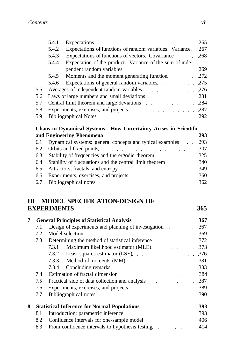|     | 5.4.1 | Expectations expectations and the set of the set of the set of the set of the set of the set of the set of the set of the set of the set of the set of the set of the set of the set of the set of the set of the set of the s | 265 |
|-----|-------|--------------------------------------------------------------------------------------------------------------------------------------------------------------------------------------------------------------------------------|-----|
|     | 5.4.2 | Expectations of functions of random variables. Variance.                                                                                                                                                                       | 267 |
|     | 5.4.3 | Expectations of functions of vectors. Covariance                                                                                                                                                                               | 268 |
|     | 5.4.4 | Expectation of the product. Variance of the sum of inde-                                                                                                                                                                       |     |
|     |       | pendent random variables 269                                                                                                                                                                                                   |     |
|     | 5.4.5 | Moments and the moment generating function 272                                                                                                                                                                                 |     |
|     | 5.4.6 | Expectations of general random variables 275                                                                                                                                                                                   |     |
| 5.5 |       | Averages of independent random variables 276                                                                                                                                                                                   |     |
| 5.6 |       | Laws of large numbers and small deviations 281                                                                                                                                                                                 |     |
| 5.7 |       | Central limit theorem and large deviations 284                                                                                                                                                                                 |     |
| 5.8 |       | Experiments, exercises, and projects 287                                                                                                                                                                                       |     |
| 5.9 |       | Bibliographical Notes 292                                                                                                                                                                                                      |     |
|     |       |                                                                                                                                                                                                                                |     |

#### **Chaos in Dynamical Systems: How Uncertainty Arises in Scientific and Engineering Phenomena 293**

| and <b>Engineering</b> Thenomena                                 |  |
|------------------------------------------------------------------|--|
| 6.1 Dynamical systems: general concepts and typical examples 293 |  |
| 6.2 Orbits and fixed points 307                                  |  |
| 6.3 Stability of frequencies and the ergodic theorem 325         |  |
| 6.4 Stability of fluctuations and the central limit theorem 340  |  |
| 6.5 Attractors, fractals, and entropy 349                        |  |
| 6.6 Experiments, exercises, and projects 360                     |  |
| 6.7 Bibliographical notes 362                                    |  |
|                                                                  |  |

#### **III MODEL SPECIFICATION-DESIGN OF EXPERIMENTS 365**

**7 General Principles of Statistical Analysis 367** 7.1 Design of experiments and planning of investigation 367 7.2 Model selection 369 7.3 Determining the method of statistical inference 372 7.3.1 Maximum likelihood estimator (MLE) 373 7.3.2 Least squares estimator (LSE) 376 7.3.3 Method of moments (MM) 381 7.3.4 Concluding remarks 383 7.4 Estimation of fractal dimension 384 7.5 Practical side of data collection and analysis 387 7.6 Experiments, exercises, and projects 389 7.7 Bibliographical notes 390 **8 Statistical Inference for Normal Populations 393** 8.1 Introduction; parametric inference 393 8.2 Confidence intervals for one-sample model 406 8.3 From confidence intervals to hypothesis testing 414